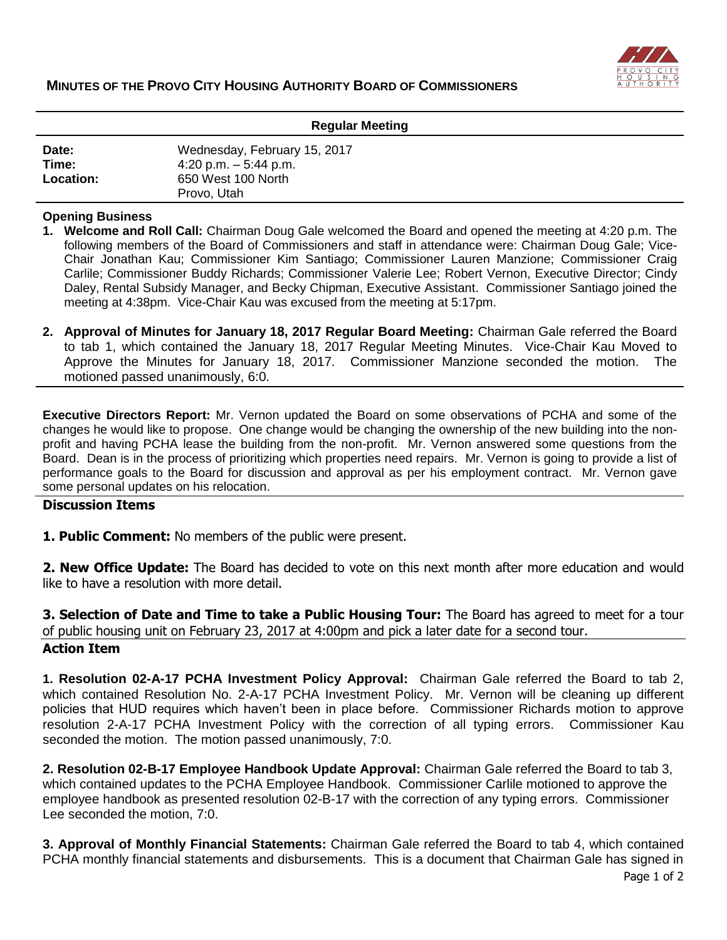

| <b>Regular Meeting</b>      |                                                                                             |
|-----------------------------|---------------------------------------------------------------------------------------------|
| Date:<br>Time:<br>Location: | Wednesday, February 15, 2017<br>4:20 p.m. $-5:44$ p.m.<br>650 West 100 North<br>Provo, Utah |

## **Opening Business**

- **1. Welcome and Roll Call:** Chairman Doug Gale welcomed the Board and opened the meeting at 4:20 p.m. The following members of the Board of Commissioners and staff in attendance were: Chairman Doug Gale; Vice-Chair Jonathan Kau; Commissioner Kim Santiago; Commissioner Lauren Manzione; Commissioner Craig Carlile; Commissioner Buddy Richards; Commissioner Valerie Lee; Robert Vernon, Executive Director; Cindy Daley, Rental Subsidy Manager, and Becky Chipman, Executive Assistant. Commissioner Santiago joined the meeting at 4:38pm. Vice-Chair Kau was excused from the meeting at 5:17pm.
- **2. Approval of Minutes for January 18, 2017 Regular Board Meeting:** Chairman Gale referred the Board to tab 1, which contained the January 18, 2017 Regular Meeting Minutes. Vice-Chair Kau Moved to Approve the Minutes for January 18, 2017. Commissioner Manzione seconded the motion. The motioned passed unanimously, 6:0.

**Executive Directors Report:** Mr. Vernon updated the Board on some observations of PCHA and some of the changes he would like to propose. One change would be changing the ownership of the new building into the nonprofit and having PCHA lease the building from the non-profit. Mr. Vernon answered some questions from the Board. Dean is in the process of prioritizing which properties need repairs. Mr. Vernon is going to provide a list of performance goals to the Board for discussion and approval as per his employment contract. Mr. Vernon gave some personal updates on his relocation.

## **Discussion Items**

**1. Public Comment:** No members of the public were present.

**2. New Office Update:** The Board has decided to vote on this next month after more education and would like to have a resolution with more detail.

**3. Selection of Date and Time to take a Public Housing Tour:** The Board has agreed to meet for a tour of public housing unit on February 23, 2017 at 4:00pm and pick a later date for a second tour. **Action Item**

**1. Resolution 02-A-17 PCHA Investment Policy Approval:** Chairman Gale referred the Board to tab 2, which contained Resolution No. 2-A-17 PCHA Investment Policy. Mr. Vernon will be cleaning up different policies that HUD requires which haven't been in place before. Commissioner Richards motion to approve resolution 2-A-17 PCHA Investment Policy with the correction of all typing errors. Commissioner Kau seconded the motion. The motion passed unanimously, 7:0.

**2. Resolution 02-B-17 Employee Handbook Update Approval:** Chairman Gale referred the Board to tab 3, which contained updates to the PCHA Employee Handbook. Commissioner Carlile motioned to approve the employee handbook as presented resolution 02-B-17 with the correction of any typing errors. Commissioner Lee seconded the motion, 7:0.

Page 1 of 2 **3. Approval of Monthly Financial Statements:** Chairman Gale referred the Board to tab 4, which contained PCHA monthly financial statements and disbursements. This is a document that Chairman Gale has signed in